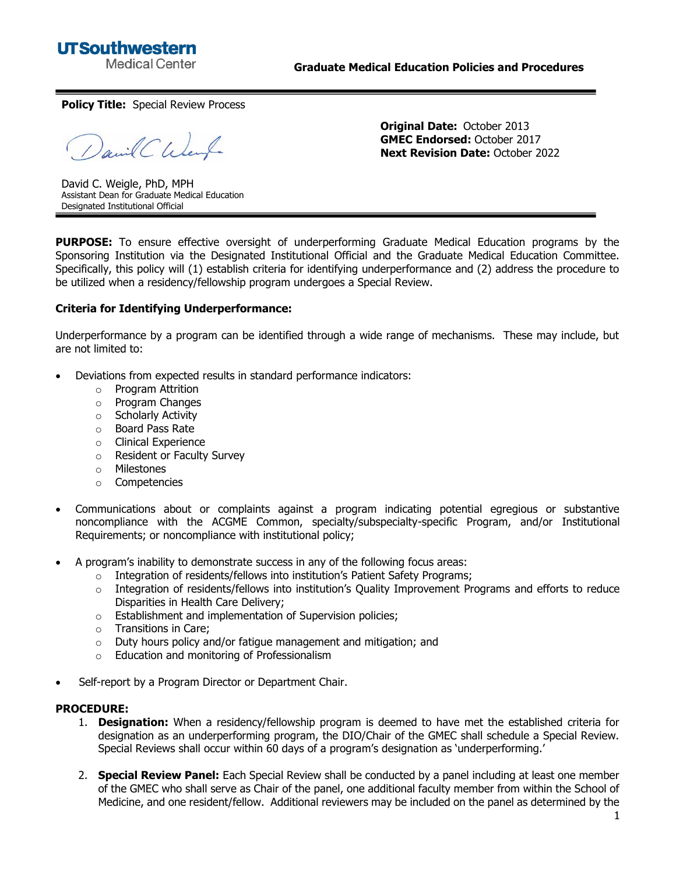**UTSouthwestern Medical Center** 

**Policy Title:** Special Review Process

David C Went

**Original Date:** October 2013 **GMEC Endorsed:** October 2017 **Next Revision Date:** October 2022

David C. Weigle, PhD, MPH Assistant Dean for Graduate Medical Education Designated Institutional Official

**PURPOSE:** To ensure effective oversight of underperforming Graduate Medical Education programs by the Sponsoring Institution via the Designated Institutional Official and the Graduate Medical Education Committee. Specifically, this policy will (1) establish criteria for identifying underperformance and (2) address the procedure to be utilized when a residency/fellowship program undergoes a Special Review.

## **Criteria for Identifying Underperformance:**

Underperformance by a program can be identified through a wide range of mechanisms. These may include, but are not limited to:

- Deviations from expected results in standard performance indicators:
	- o Program Attrition
	- o Program Changes
	- o Scholarly Activity
	- o Board Pass Rate
	- o Clinical Experience
	- o Resident or Faculty Survey
	- o Milestones
	- o Competencies
- Communications about or complaints against a program indicating potential egregious or substantive noncompliance with the ACGME Common, specialty/subspecialty-specific Program, and/or Institutional Requirements; or noncompliance with institutional policy;
- A program's inability to demonstrate success in any of the following focus areas:
	- o Integration of residents/fellows into institution's Patient Safety Programs;
	- $\circ$  Integration of residents/fellows into institution's Quality Improvement Programs and efforts to reduce Disparities in Health Care Delivery;
	- o Establishment and implementation of Supervision policies;
	- o Transitions in Care;
	- o Duty hours policy and/or fatigue management and mitigation; and
	- o Education and monitoring of Professionalism
- Self-report by a Program Director or Department Chair.

## **PROCEDURE:**

- 1. **Designation:** When a residency/fellowship program is deemed to have met the established criteria for designation as an underperforming program, the DIO/Chair of the GMEC shall schedule a Special Review. Special Reviews shall occur within 60 days of a program's designation as 'underperforming.'
- 2. **Special Review Panel:** Each Special Review shall be conducted by a panel including at least one member of the GMEC who shall serve as Chair of the panel, one additional faculty member from within the School of Medicine, and one resident/fellow. Additional reviewers may be included on the panel as determined by the